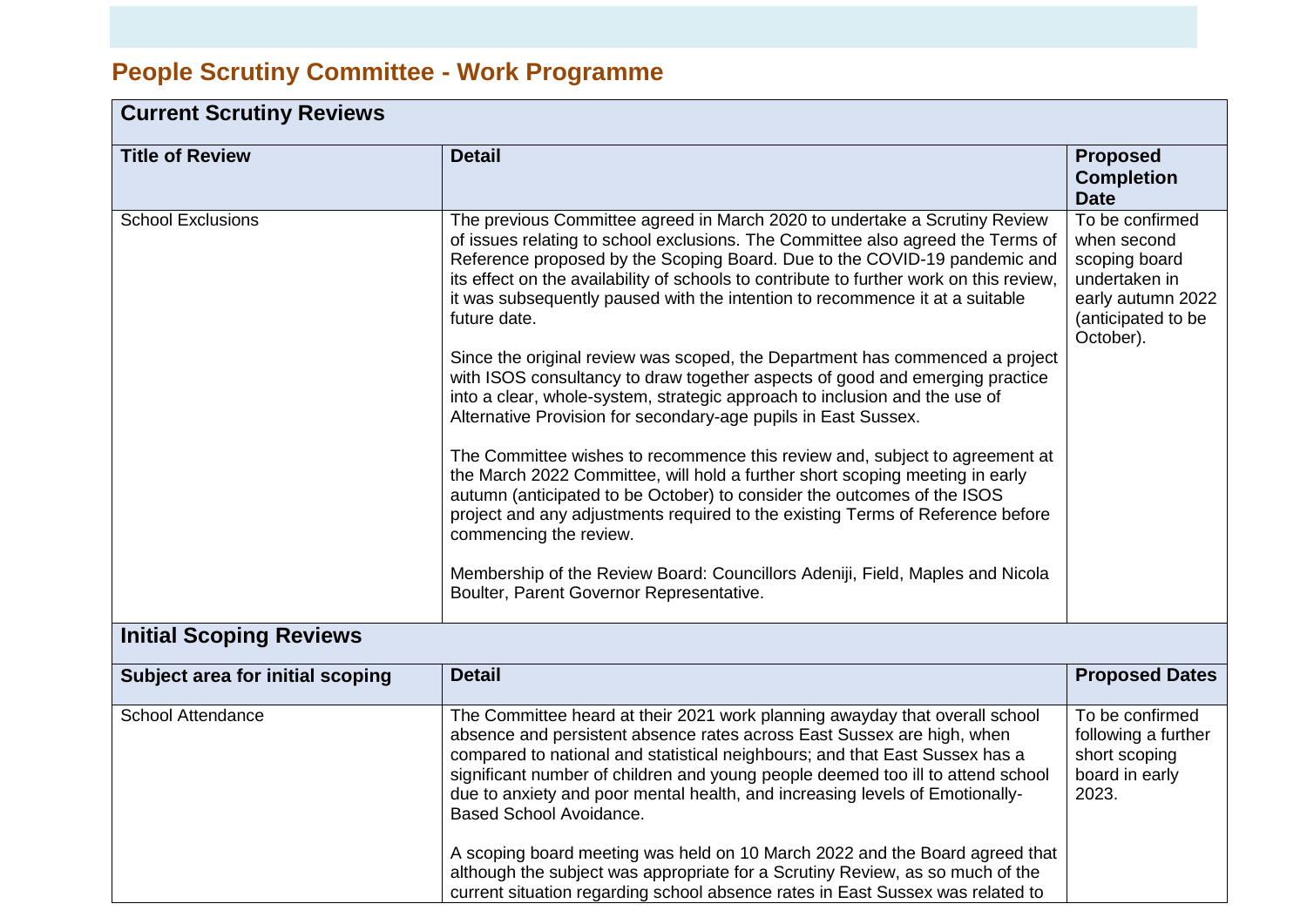## **People Scrutiny Committee - Work Programme**

| <b>Current Scrutiny Reviews</b>  |                                                                                                                                                                                                                                                                                                                                                                                                                                                                                                                                                                                                                                                                                                                                                                                                                                                                                                                                                                                                                                                                                                                                                                                                                                          |                                                                                                                          |
|----------------------------------|------------------------------------------------------------------------------------------------------------------------------------------------------------------------------------------------------------------------------------------------------------------------------------------------------------------------------------------------------------------------------------------------------------------------------------------------------------------------------------------------------------------------------------------------------------------------------------------------------------------------------------------------------------------------------------------------------------------------------------------------------------------------------------------------------------------------------------------------------------------------------------------------------------------------------------------------------------------------------------------------------------------------------------------------------------------------------------------------------------------------------------------------------------------------------------------------------------------------------------------|--------------------------------------------------------------------------------------------------------------------------|
| <b>Title of Review</b>           | <b>Detail</b>                                                                                                                                                                                                                                                                                                                                                                                                                                                                                                                                                                                                                                                                                                                                                                                                                                                                                                                                                                                                                                                                                                                                                                                                                            | <b>Proposed</b><br><b>Completion</b><br><b>Date</b>                                                                      |
| <b>School Exclusions</b>         | The previous Committee agreed in March 2020 to undertake a Scrutiny Review<br>of issues relating to school exclusions. The Committee also agreed the Terms of<br>Reference proposed by the Scoping Board. Due to the COVID-19 pandemic and<br>its effect on the availability of schools to contribute to further work on this review,<br>it was subsequently paused with the intention to recommence it at a suitable<br>future date.<br>Since the original review was scoped, the Department has commenced a project<br>with ISOS consultancy to draw together aspects of good and emerging practice<br>into a clear, whole-system, strategic approach to inclusion and the use of<br>Alternative Provision for secondary-age pupils in East Sussex.<br>The Committee wishes to recommence this review and, subject to agreement at<br>the March 2022 Committee, will hold a further short scoping meeting in early<br>autumn (anticipated to be October) to consider the outcomes of the ISOS<br>project and any adjustments required to the existing Terms of Reference before<br>commencing the review.<br>Membership of the Review Board: Councillors Adeniji, Field, Maples and Nicola<br>Boulter, Parent Governor Representative. | To be confirmed<br>when second<br>scoping board<br>undertaken in<br>early autumn 2022<br>(anticipated to be<br>October). |
| <b>Initial Scoping Reviews</b>   |                                                                                                                                                                                                                                                                                                                                                                                                                                                                                                                                                                                                                                                                                                                                                                                                                                                                                                                                                                                                                                                                                                                                                                                                                                          |                                                                                                                          |
| Subject area for initial scoping | <b>Detail</b>                                                                                                                                                                                                                                                                                                                                                                                                                                                                                                                                                                                                                                                                                                                                                                                                                                                                                                                                                                                                                                                                                                                                                                                                                            | <b>Proposed Dates</b>                                                                                                    |
| <b>School Attendance</b>         | The Committee heard at their 2021 work planning awayday that overall school<br>absence and persistent absence rates across East Sussex are high, when<br>compared to national and statistical neighbours; and that East Sussex has a<br>significant number of children and young people deemed too ill to attend school<br>due to anxiety and poor mental health, and increasing levels of Emotionally-<br>Based School Avoidance.<br>A scoping board meeting was held on 10 March 2022 and the Board agreed that<br>although the subject was appropriate for a Scrutiny Review, as so much of the<br>current situation regarding school absence rates in East Sussex was related to                                                                                                                                                                                                                                                                                                                                                                                                                                                                                                                                                     | To be confirmed<br>following a further<br>short scoping<br>board in early<br>2023.                                       |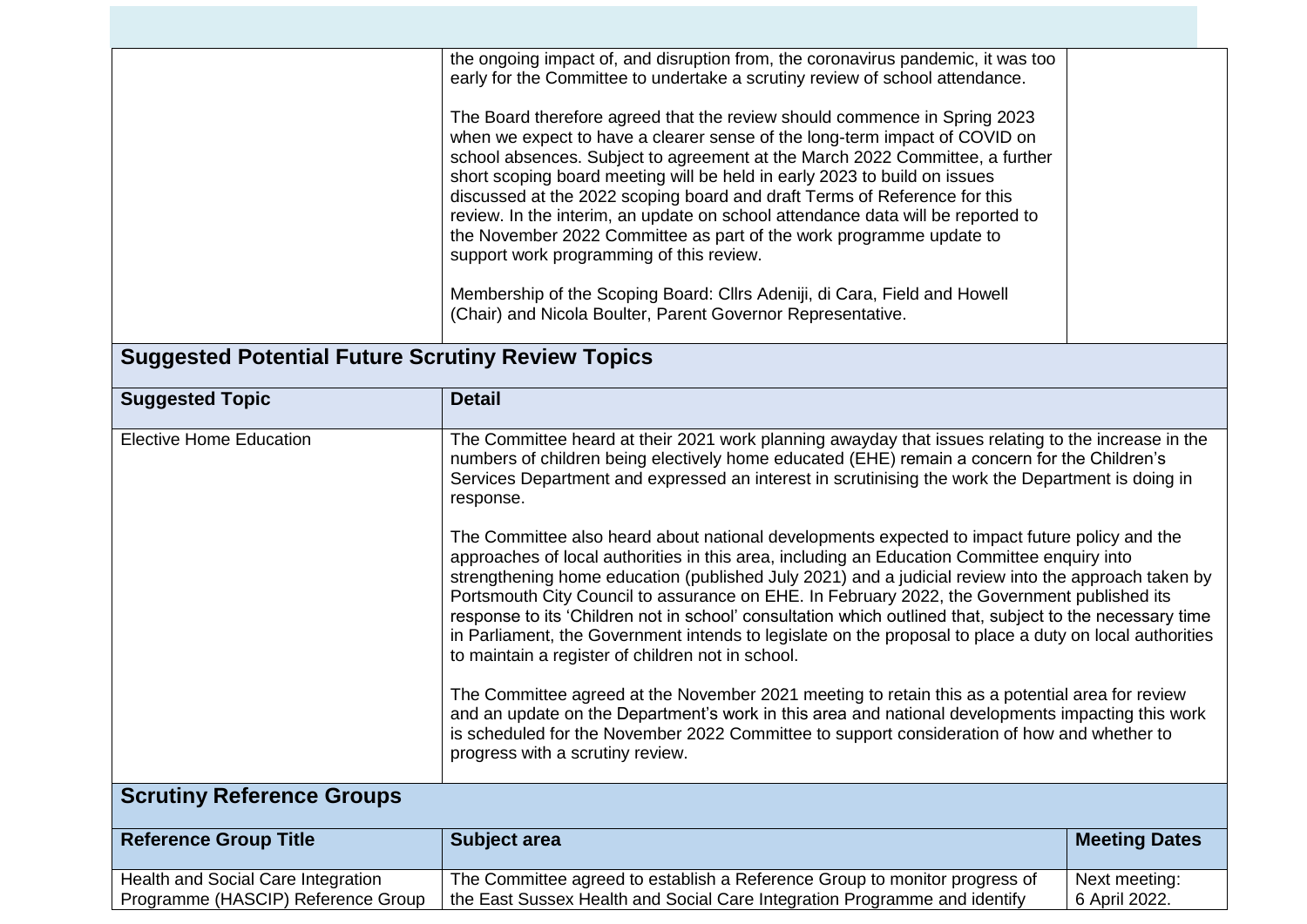|                                                                          | the ongoing impact of, and disruption from, the coronavirus pandemic, it was too<br>early for the Committee to undertake a scrutiny review of school attendance.<br>The Board therefore agreed that the review should commence in Spring 2023<br>when we expect to have a clearer sense of the long-term impact of COVID on<br>school absences. Subject to agreement at the March 2022 Committee, a further<br>short scoping board meeting will be held in early 2023 to build on issues<br>discussed at the 2022 scoping board and draft Terms of Reference for this<br>review. In the interim, an update on school attendance data will be reported to<br>the November 2022 Committee as part of the work programme update to<br>support work programming of this review.                                                                                                                                                                                                                                                                                                                                                                                                                                                                                                                                                                        |                                |  |
|--------------------------------------------------------------------------|----------------------------------------------------------------------------------------------------------------------------------------------------------------------------------------------------------------------------------------------------------------------------------------------------------------------------------------------------------------------------------------------------------------------------------------------------------------------------------------------------------------------------------------------------------------------------------------------------------------------------------------------------------------------------------------------------------------------------------------------------------------------------------------------------------------------------------------------------------------------------------------------------------------------------------------------------------------------------------------------------------------------------------------------------------------------------------------------------------------------------------------------------------------------------------------------------------------------------------------------------------------------------------------------------------------------------------------------------|--------------------------------|--|
|                                                                          | Membership of the Scoping Board: Cllrs Adeniji, di Cara, Field and Howell<br>(Chair) and Nicola Boulter, Parent Governor Representative.                                                                                                                                                                                                                                                                                                                                                                                                                                                                                                                                                                                                                                                                                                                                                                                                                                                                                                                                                                                                                                                                                                                                                                                                           |                                |  |
| <b>Suggested Potential Future Scrutiny Review Topics</b>                 |                                                                                                                                                                                                                                                                                                                                                                                                                                                                                                                                                                                                                                                                                                                                                                                                                                                                                                                                                                                                                                                                                                                                                                                                                                                                                                                                                    |                                |  |
| <b>Suggested Topic</b>                                                   | <b>Detail</b>                                                                                                                                                                                                                                                                                                                                                                                                                                                                                                                                                                                                                                                                                                                                                                                                                                                                                                                                                                                                                                                                                                                                                                                                                                                                                                                                      |                                |  |
| <b>Elective Home Education</b>                                           | The Committee heard at their 2021 work planning awayday that issues relating to the increase in the<br>numbers of children being electively home educated (EHE) remain a concern for the Children's<br>Services Department and expressed an interest in scrutinising the work the Department is doing in<br>response.<br>The Committee also heard about national developments expected to impact future policy and the<br>approaches of local authorities in this area, including an Education Committee enquiry into<br>strengthening home education (published July 2021) and a judicial review into the approach taken by<br>Portsmouth City Council to assurance on EHE. In February 2022, the Government published its<br>response to its 'Children not in school' consultation which outlined that, subject to the necessary time<br>in Parliament, the Government intends to legislate on the proposal to place a duty on local authorities<br>to maintain a register of children not in school.<br>The Committee agreed at the November 2021 meeting to retain this as a potential area for review<br>and an update on the Department's work in this area and national developments impacting this work<br>is scheduled for the November 2022 Committee to support consideration of how and whether to<br>progress with a scrutiny review. |                                |  |
| <b>Scrutiny Reference Groups</b>                                         |                                                                                                                                                                                                                                                                                                                                                                                                                                                                                                                                                                                                                                                                                                                                                                                                                                                                                                                                                                                                                                                                                                                                                                                                                                                                                                                                                    |                                |  |
| <b>Reference Group Title</b>                                             | <b>Subject area</b>                                                                                                                                                                                                                                                                                                                                                                                                                                                                                                                                                                                                                                                                                                                                                                                                                                                                                                                                                                                                                                                                                                                                                                                                                                                                                                                                | <b>Meeting Dates</b>           |  |
| Health and Social Care Integration<br>Programme (HASCIP) Reference Group | The Committee agreed to establish a Reference Group to monitor progress of<br>the East Sussex Health and Social Care Integration Programme and identify                                                                                                                                                                                                                                                                                                                                                                                                                                                                                                                                                                                                                                                                                                                                                                                                                                                                                                                                                                                                                                                                                                                                                                                            | Next meeting:<br>6 April 2022. |  |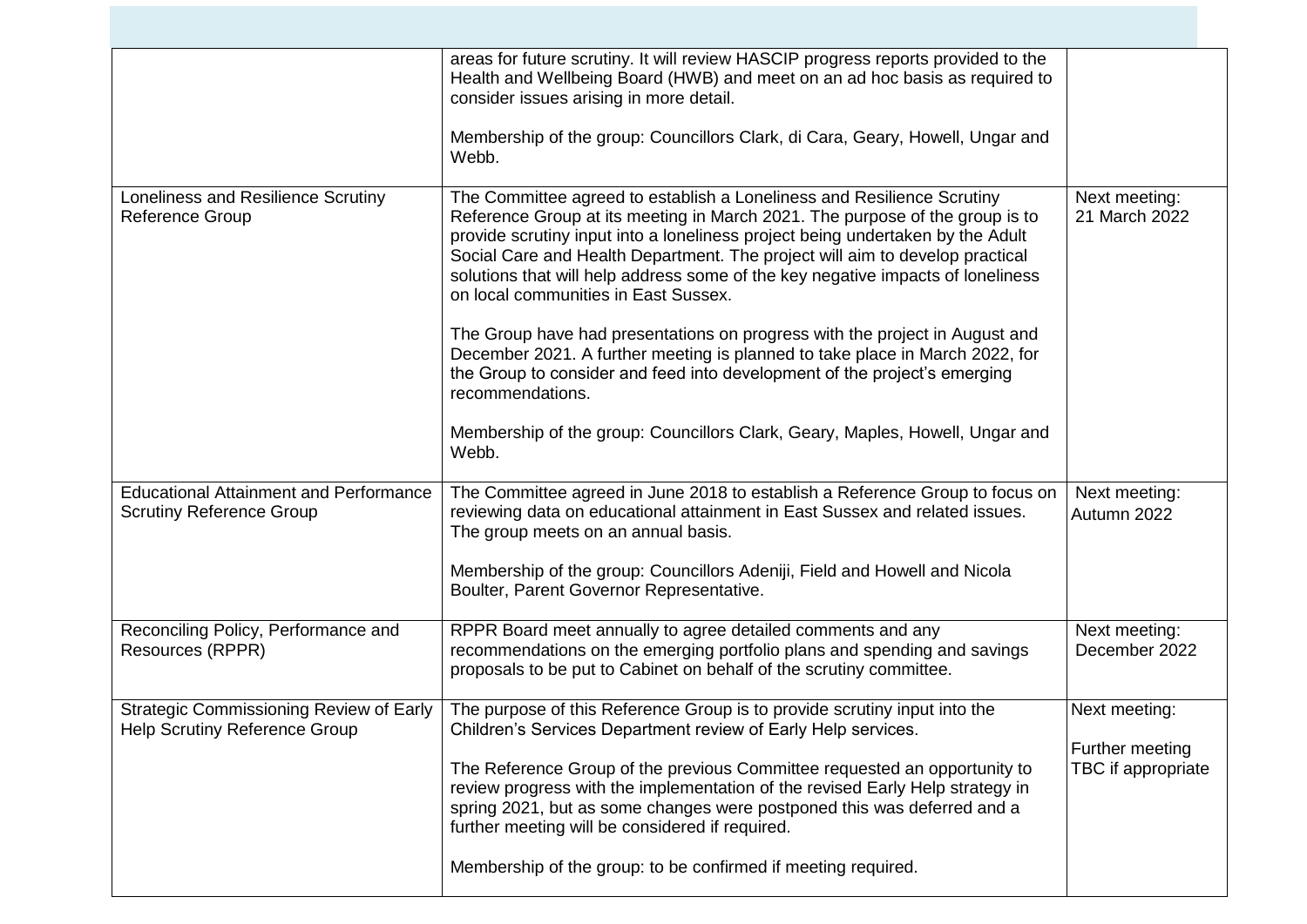|                                                                                  | areas for future scrutiny. It will review HASCIP progress reports provided to the<br>Health and Wellbeing Board (HWB) and meet on an ad hoc basis as required to<br>consider issues arising in more detail.                                                                                                                                                                                                                                         |                                       |
|----------------------------------------------------------------------------------|-----------------------------------------------------------------------------------------------------------------------------------------------------------------------------------------------------------------------------------------------------------------------------------------------------------------------------------------------------------------------------------------------------------------------------------------------------|---------------------------------------|
|                                                                                  | Membership of the group: Councillors Clark, di Cara, Geary, Howell, Ungar and<br>Webb.                                                                                                                                                                                                                                                                                                                                                              |                                       |
| Loneliness and Resilience Scrutiny<br><b>Reference Group</b>                     | The Committee agreed to establish a Loneliness and Resilience Scrutiny<br>Reference Group at its meeting in March 2021. The purpose of the group is to<br>provide scrutiny input into a loneliness project being undertaken by the Adult<br>Social Care and Health Department. The project will aim to develop practical<br>solutions that will help address some of the key negative impacts of loneliness<br>on local communities in East Sussex. | Next meeting:<br>21 March 2022        |
|                                                                                  | The Group have had presentations on progress with the project in August and<br>December 2021. A further meeting is planned to take place in March 2022, for<br>the Group to consider and feed into development of the project's emerging<br>recommendations.                                                                                                                                                                                        |                                       |
|                                                                                  | Membership of the group: Councillors Clark, Geary, Maples, Howell, Ungar and<br>Webb.                                                                                                                                                                                                                                                                                                                                                               |                                       |
| <b>Educational Attainment and Performance</b><br><b>Scrutiny Reference Group</b> | The Committee agreed in June 2018 to establish a Reference Group to focus on<br>reviewing data on educational attainment in East Sussex and related issues.<br>The group meets on an annual basis.                                                                                                                                                                                                                                                  | Next meeting:<br>Autumn 2022          |
|                                                                                  | Membership of the group: Councillors Adeniji, Field and Howell and Nicola<br>Boulter, Parent Governor Representative.                                                                                                                                                                                                                                                                                                                               |                                       |
| Reconciling Policy, Performance and<br>Resources (RPPR)                          | RPPR Board meet annually to agree detailed comments and any<br>recommendations on the emerging portfolio plans and spending and savings<br>proposals to be put to Cabinet on behalf of the scrutiny committee.                                                                                                                                                                                                                                      | Next meeting:<br>December 2022        |
| <b>Strategic Commissioning Review of Early</b><br>Help Scrutiny Reference Group  | The purpose of this Reference Group is to provide scrutiny input into the<br>Children's Services Department review of Early Help services.                                                                                                                                                                                                                                                                                                          | Next meeting:                         |
|                                                                                  | The Reference Group of the previous Committee requested an opportunity to<br>review progress with the implementation of the revised Early Help strategy in<br>spring 2021, but as some changes were postponed this was deferred and a<br>further meeting will be considered if required.                                                                                                                                                            | Further meeting<br>TBC if appropriate |
|                                                                                  | Membership of the group: to be confirmed if meeting required.                                                                                                                                                                                                                                                                                                                                                                                       |                                       |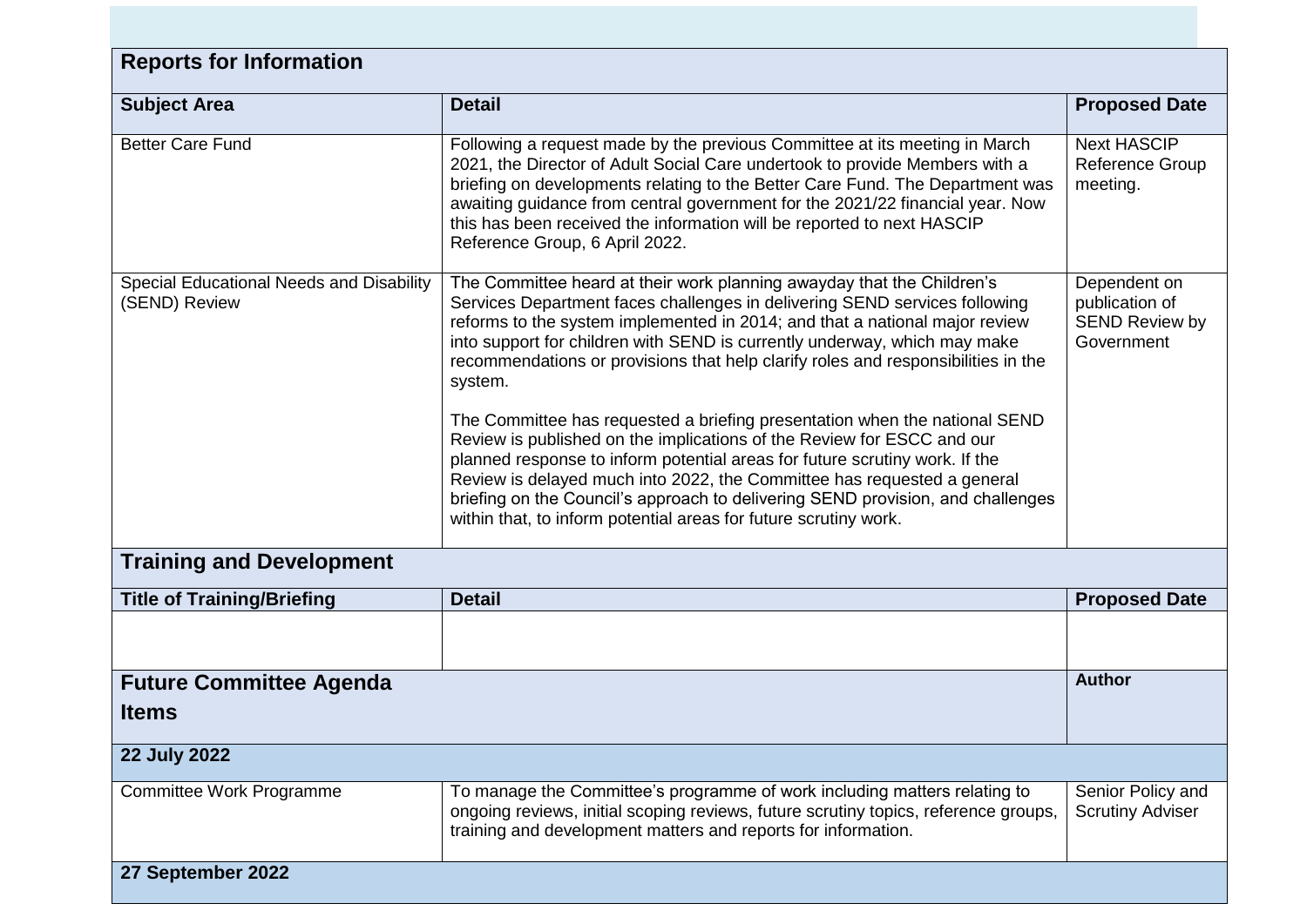| <b>Reports for Information</b>                            |                                                                                                                                                                                                                                                                                                                                                                                                                                                                                                                                                                                                                                                                                                                                                                                                                                                                                           |                                                                       |  |
|-----------------------------------------------------------|-------------------------------------------------------------------------------------------------------------------------------------------------------------------------------------------------------------------------------------------------------------------------------------------------------------------------------------------------------------------------------------------------------------------------------------------------------------------------------------------------------------------------------------------------------------------------------------------------------------------------------------------------------------------------------------------------------------------------------------------------------------------------------------------------------------------------------------------------------------------------------------------|-----------------------------------------------------------------------|--|
| <b>Subject Area</b>                                       | <b>Detail</b>                                                                                                                                                                                                                                                                                                                                                                                                                                                                                                                                                                                                                                                                                                                                                                                                                                                                             | <b>Proposed Date</b>                                                  |  |
| <b>Better Care Fund</b>                                   | Following a request made by the previous Committee at its meeting in March<br>2021, the Director of Adult Social Care undertook to provide Members with a<br>briefing on developments relating to the Better Care Fund. The Department was<br>awaiting guidance from central government for the 2021/22 financial year. Now<br>this has been received the information will be reported to next HASCIP<br>Reference Group, 6 April 2022.                                                                                                                                                                                                                                                                                                                                                                                                                                                   | <b>Next HASCIP</b><br><b>Reference Group</b><br>meeting.              |  |
| Special Educational Needs and Disability<br>(SEND) Review | The Committee heard at their work planning awayday that the Children's<br>Services Department faces challenges in delivering SEND services following<br>reforms to the system implemented in 2014; and that a national major review<br>into support for children with SEND is currently underway, which may make<br>recommendations or provisions that help clarify roles and responsibilities in the<br>system.<br>The Committee has requested a briefing presentation when the national SEND<br>Review is published on the implications of the Review for ESCC and our<br>planned response to inform potential areas for future scrutiny work. If the<br>Review is delayed much into 2022, the Committee has requested a general<br>briefing on the Council's approach to delivering SEND provision, and challenges<br>within that, to inform potential areas for future scrutiny work. | Dependent on<br>publication of<br><b>SEND Review by</b><br>Government |  |
| <b>Training and Development</b>                           |                                                                                                                                                                                                                                                                                                                                                                                                                                                                                                                                                                                                                                                                                                                                                                                                                                                                                           |                                                                       |  |
| <b>Title of Training/Briefing</b>                         | <b>Detail</b>                                                                                                                                                                                                                                                                                                                                                                                                                                                                                                                                                                                                                                                                                                                                                                                                                                                                             | <b>Proposed Date</b>                                                  |  |
|                                                           |                                                                                                                                                                                                                                                                                                                                                                                                                                                                                                                                                                                                                                                                                                                                                                                                                                                                                           |                                                                       |  |
| <b>Future Committee Agenda</b><br><b>Items</b>            |                                                                                                                                                                                                                                                                                                                                                                                                                                                                                                                                                                                                                                                                                                                                                                                                                                                                                           | <b>Author</b>                                                         |  |
| <b>22 July 2022</b>                                       |                                                                                                                                                                                                                                                                                                                                                                                                                                                                                                                                                                                                                                                                                                                                                                                                                                                                                           |                                                                       |  |
| Committee Work Programme                                  | To manage the Committee's programme of work including matters relating to<br>ongoing reviews, initial scoping reviews, future scrutiny topics, reference groups,<br>training and development matters and reports for information.                                                                                                                                                                                                                                                                                                                                                                                                                                                                                                                                                                                                                                                         | Senior Policy and<br><b>Scrutiny Adviser</b>                          |  |
| 27 September 2022                                         |                                                                                                                                                                                                                                                                                                                                                                                                                                                                                                                                                                                                                                                                                                                                                                                                                                                                                           |                                                                       |  |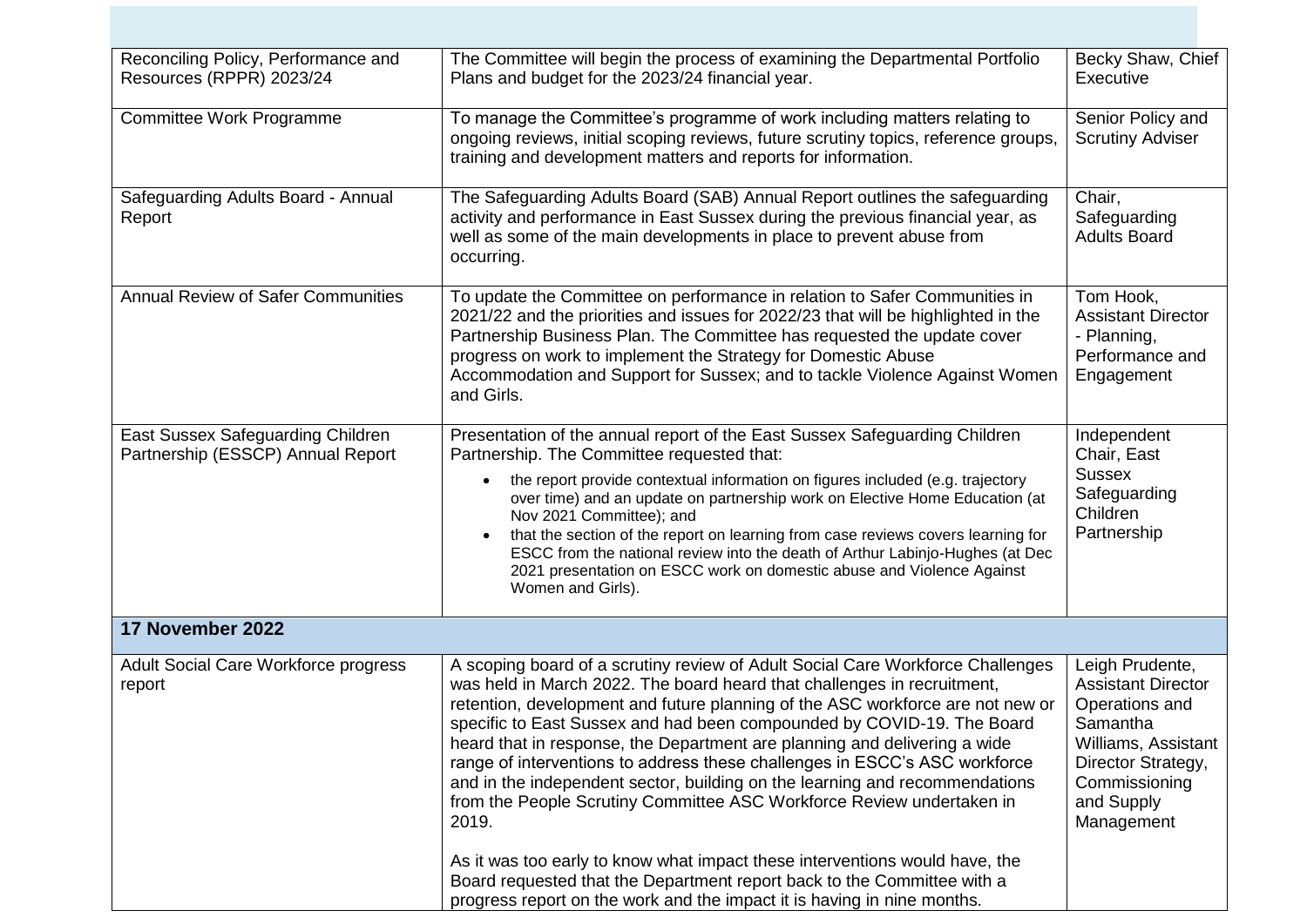| Reconciling Policy, Performance and<br>Resources (RPPR) 2023/24        | The Committee will begin the process of examining the Departmental Portfolio<br>Plans and budget for the 2023/24 financial year.                                                                                                                                                                                                                                                                                                                                                                                                                                                                                                                                                                                                                                                                                                                                                       | Becky Shaw, Chief<br>Executive                                                                                                                                       |
|------------------------------------------------------------------------|----------------------------------------------------------------------------------------------------------------------------------------------------------------------------------------------------------------------------------------------------------------------------------------------------------------------------------------------------------------------------------------------------------------------------------------------------------------------------------------------------------------------------------------------------------------------------------------------------------------------------------------------------------------------------------------------------------------------------------------------------------------------------------------------------------------------------------------------------------------------------------------|----------------------------------------------------------------------------------------------------------------------------------------------------------------------|
| Committee Work Programme                                               | To manage the Committee's programme of work including matters relating to<br>ongoing reviews, initial scoping reviews, future scrutiny topics, reference groups,<br>training and development matters and reports for information.                                                                                                                                                                                                                                                                                                                                                                                                                                                                                                                                                                                                                                                      | Senior Policy and<br><b>Scrutiny Adviser</b>                                                                                                                         |
| Safeguarding Adults Board - Annual<br>Report                           | The Safeguarding Adults Board (SAB) Annual Report outlines the safeguarding<br>activity and performance in East Sussex during the previous financial year, as<br>well as some of the main developments in place to prevent abuse from<br>occurring.                                                                                                                                                                                                                                                                                                                                                                                                                                                                                                                                                                                                                                    | Chair,<br>Safeguarding<br><b>Adults Board</b>                                                                                                                        |
| <b>Annual Review of Safer Communities</b>                              | To update the Committee on performance in relation to Safer Communities in<br>2021/22 and the priorities and issues for 2022/23 that will be highlighted in the<br>Partnership Business Plan. The Committee has requested the update cover<br>progress on work to implement the Strategy for Domestic Abuse<br>Accommodation and Support for Sussex; and to tackle Violence Against Women<br>and Girls.                                                                                                                                                                                                                                                                                                                                                                                                                                                                                | Tom Hook,<br><b>Assistant Director</b><br>- Planning,<br>Performance and<br>Engagement                                                                               |
| East Sussex Safeguarding Children<br>Partnership (ESSCP) Annual Report | Presentation of the annual report of the East Sussex Safeguarding Children<br>Partnership. The Committee requested that:<br>the report provide contextual information on figures included (e.g. trajectory<br>over time) and an update on partnership work on Elective Home Education (at<br>Nov 2021 Committee); and<br>that the section of the report on learning from case reviews covers learning for<br>ESCC from the national review into the death of Arthur Labinjo-Hughes (at Dec<br>2021 presentation on ESCC work on domestic abuse and Violence Against<br>Women and Girls).                                                                                                                                                                                                                                                                                               | Independent<br>Chair, East<br><b>Sussex</b><br>Safeguarding<br>Children<br>Partnership                                                                               |
| 17 November 2022                                                       |                                                                                                                                                                                                                                                                                                                                                                                                                                                                                                                                                                                                                                                                                                                                                                                                                                                                                        |                                                                                                                                                                      |
| Adult Social Care Workforce progress<br>report                         | A scoping board of a scrutiny review of Adult Social Care Workforce Challenges<br>was held in March 2022. The board heard that challenges in recruitment,<br>retention, development and future planning of the ASC workforce are not new or<br>specific to East Sussex and had been compounded by COVID-19. The Board<br>heard that in response, the Department are planning and delivering a wide<br>range of interventions to address these challenges in ESCC's ASC workforce<br>and in the independent sector, building on the learning and recommendations<br>from the People Scrutiny Committee ASC Workforce Review undertaken in<br>2019.<br>As it was too early to know what impact these interventions would have, the<br>Board requested that the Department report back to the Committee with a<br>progress report on the work and the impact it is having in nine months. | Leigh Prudente,<br><b>Assistant Director</b><br>Operations and<br>Samantha<br>Williams, Assistant<br>Director Strategy,<br>Commissioning<br>and Supply<br>Management |